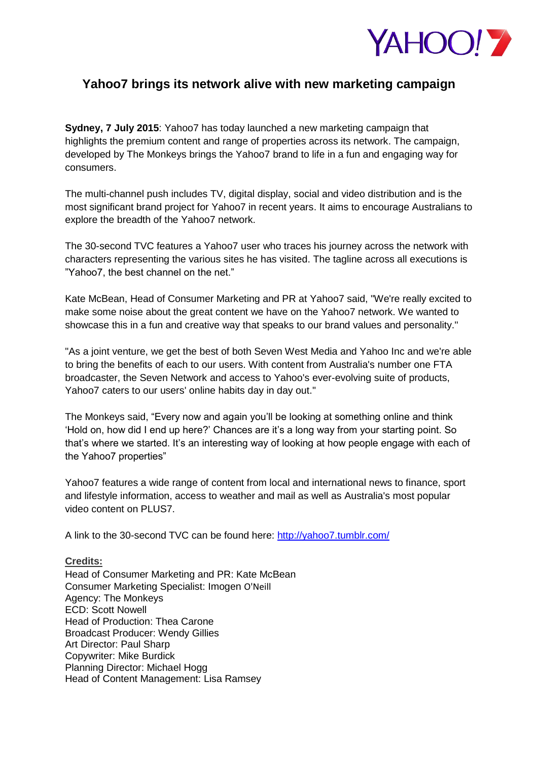

# **Yahoo7 brings its network alive with new marketing campaign**

**Sydney, 7 July 2015**: Yahoo7 has today launched a new marketing campaign that highlights the premium content and range of properties across its network. The campaign, developed by The Monkeys brings the Yahoo7 brand to life in a fun and engaging way for consumers.

The multi-channel push includes TV, digital display, social and video distribution and is the most significant brand project for Yahoo7 in recent years. It aims to encourage Australians to explore the breadth of the Yahoo7 network.

The 30-second TVC features a Yahoo7 user who traces his journey across the network with characters representing the various sites he has visited. The tagline across all executions is "Yahoo7, the best channel on the net."

Kate McBean, Head of Consumer Marketing and PR at Yahoo7 said, "We're really excited to make some noise about the great content we have on the Yahoo7 network. We wanted to showcase this in a fun and creative way that speaks to our brand values and personality."

"As a joint venture, we get the best of both Seven West Media and Yahoo Inc and we're able to bring the benefits of each to our users. With content from Australia's number one FTA broadcaster, the Seven Network and access to Yahoo's ever-evolving suite of products, Yahoo7 caters to our users' online habits day in day out."

The Monkeys said, "Every now and again you"ll be looking at something online and think "Hold on, how did I end up here?" Chances are it"s a long way from your starting point. So that"s where we started. It"s an interesting way of looking at how people engage with each of the Yahoo7 properties"

Yahoo7 features a wide range of content from local and international news to finance, sport and lifestyle information, access to weather and mail as well as Australia's most popular video content on PLUS7.

A link to the 30-second TVC can be found here:<http://yahoo7.tumblr.com/>

## **Credits:**

Head of Consumer Marketing and PR: Kate McBean Consumer Marketing Specialist: Imogen O'Neill Agency: The Monkeys ECD: Scott Nowell Head of Production: Thea Carone Broadcast Producer: Wendy Gillies Art Director: Paul Sharp Copywriter: Mike Burdick Planning Director: Michael Hogg Head of Content Management: Lisa Ramsey